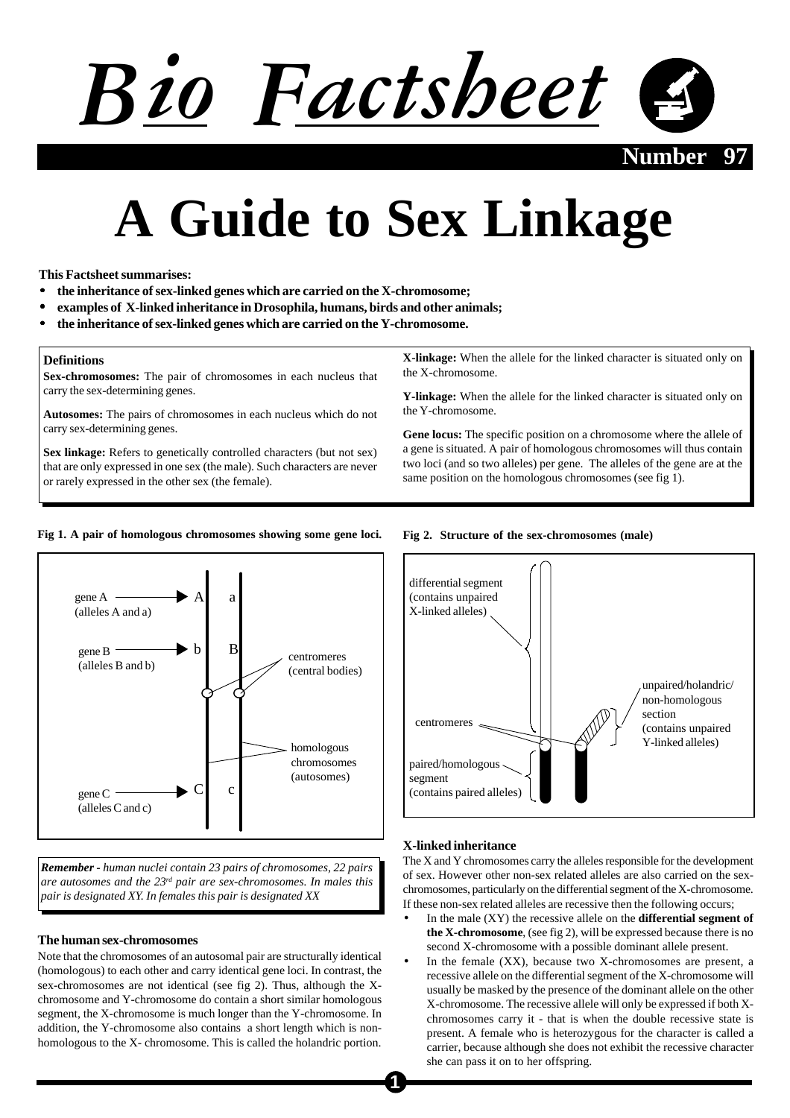# *Bio Factsheet*

**Number 97**

# **A Guide to Sex Linkage**

**This Factsheet summarises:**

- **the inheritance of sex-linked genes which are carried on the X-chromosome;**
- **examples of X-linked inheritance in Drosophila, humans, birds and other animals;**
- **the inheritance of sex-linked genes which are carried on the Y-chromosome.**

# **Definitions**

**Sex-chromosomes:** The pair of chromosomes in each nucleus that carry the sex-determining genes.

**Autosomes:** The pairs of chromosomes in each nucleus which do not carry sex-determining genes.

**Sex linkage:** Refers to genetically controlled characters (but not sex) that are only expressed in one sex (the male). Such characters are never or rarely expressed in the other sex (the female).

**X-linkage:** When the allele for the linked character is situated only on the X-chromosome.

**Y-linkage:** When the allele for the linked character is situated only on the Y-chromosome.

**Gene locus:** The specific position on a chromosome where the allele of a gene is situated. A pair of homologous chromosomes will thus contain two loci (and so two alleles) per gene. The alleles of the gene are at the same position on the homologous chromosomes (see fig 1).

# **Fig 1. A pair of homologous chromosomes showing some gene loci.**



*Remember - human nuclei contain 23 pairs of chromosomes, 22 pairs are autosomes and the 23rd pair are sex-chromosomes. In males this pair is designated XY. In females this pair is designated XX*

# **The human sex-chromosomes**

Note that the chromosomes of an autosomal pair are structurally identical (homologous) to each other and carry identical gene loci. In contrast, the sex-chromosomes are not identical (see fig 2). Thus, although the Xchromosome and Y-chromosome do contain a short similar homologous segment, the X-chromosome is much longer than the Y-chromosome. In addition, the Y-chromosome also contains a short length which is nonhomologous to the X- chromosome. This is called the holandric portion.





# **X-linked inheritance**

The X and Y chromosomes carry the alleles responsible for the development of sex. However other non-sex related alleles are also carried on the sexchromosomes, particularly on the differential segment of the X-chromosome. If these non-sex related alleles are recessive then the following occurs;

- In the male (XY) the recessive allele on the **differential segment of the X-chromosome**, (see fig 2), will be expressed because there is no second X-chromosome with a possible dominant allele present.
- In the female  $(XX)$ , because two X-chromosomes are present, a recessive allele on the differential segment of the X-chromosome will usually be masked by the presence of the dominant allele on the other X-chromosome. The recessive allele will only be expressed if both Xchromosomes carry it - that is when the double recessive state is present. A female who is heterozygous for the character is called a carrier, because although she does not exhibit the recessive character she can pass it on to her offspring.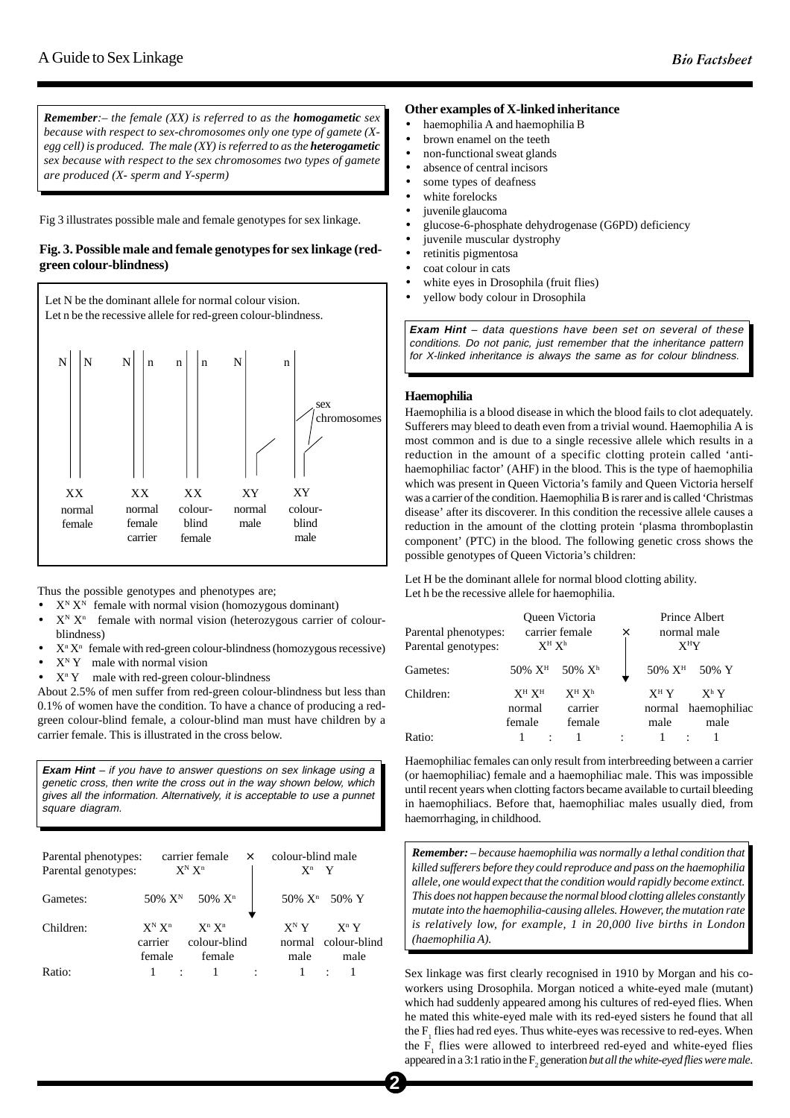*Remember:– the female (XX) is referred to as the homogametic sex because with respect to sex-chromosomes only one type of gamete (Xegg cell) is produced. The male (XY) is referred to as the heterogametic sex because with respect to the sex chromosomes two types of gamete are produced (X- sperm and Y-sperm)*

Fig 3 illustrates possible male and female genotypes for sex linkage.

# **Fig. 3. Possible male and female genotypes for sex linkage (redgreen colour-blindness)**



Thus the possible genotypes and phenotypes are;

- $X^N$   $X^N$  female with normal vision (homozygous dominant)
- $X^N$   $X^n$  female with normal vision (heterozygous carrier of colourblindness)
- $\bullet$   $X^n X^n$  female with red-green colour-blindness (homozygous recessive)
- $X^N$  Y male with normal vision
- $X<sup>n</sup> Y$  male with red-green colour-blindness

About 2.5% of men suffer from red-green colour-blindness but less than 0.1% of women have the condition. To have a chance of producing a redgreen colour-blind female, a colour-blind man must have children by a carrier female. This is illustrated in the cross below.

**Exam Hint** – if you have to answer questions on sex linkage using a genetic cross, then write the cross out in the way shown below, which gives all the information. Alternatively, it is acceptable to use a punnet square diagram.

| Parental phenotypes:<br>Parental genotypes: |                                | carrier female<br>$X^N X^n$                           | $\times$ | colour-blind male<br>$X^n$ Y |                                        |
|---------------------------------------------|--------------------------------|-------------------------------------------------------|----------|------------------------------|----------------------------------------|
| Gametes:                                    |                                | $50\% \text{ X}^{\text{N}}$ 50% $\text{X}^{\text{n}}$ |          |                              | 50% X <sup>n</sup> 50% Y               |
| Children:                                   | $X^N X^n$<br>carrier<br>female | $X^n$ $X^n$<br>colour-blind<br>female                 |          | $X^N Y$<br>male              | $X^n Y$<br>normal colour-blind<br>male |
| Ratio:                                      |                                |                                                       |          |                              |                                        |

# **Other examples of X-linked inheritance**

- haemophilia A and haemophilia B
- brown enamel on the teeth
- non-functional sweat glands
- absence of central incisors
- some types of deafness
- white forelocks
- juvenile glaucoma
- glucose-6-phosphate dehydrogenase (G6PD) deficiency
- juvenile muscular dystrophy
- retinitis pigmentosa
- coat colour in cats
- white eyes in Drosophila (fruit flies)
- yellow body colour in Drosophila

**Exam Hint** – data questions have been set on several of these conditions. Do not panic, just remember that the inheritance pattern for X-linked inheritance is always the same as for colour blindness.

# **Haemophilia**

Haemophilia is a blood disease in which the blood fails to clot adequately. Sufferers may bleed to death even from a trivial wound. Haemophilia A is most common and is due to a single recessive allele which results in a reduction in the amount of a specific clotting protein called 'antihaemophiliac factor' (AHF) in the blood. This is the type of haemophilia which was present in Queen Victoria's family and Queen Victoria herself was a carrier of the condition. Haemophilia B is rarer and is called 'Christmas disease' after its discoverer. In this condition the recessive allele causes a reduction in the amount of the clotting protein 'plasma thromboplastin component' (PTC) in the blood. The following genetic cross shows the possible genotypes of Queen Victoria's children:

Let H be the dominant allele for normal blood clotting ability. Let h be the recessive allele for haemophilia.

| Parental phenotypes:<br>Parental genotypes: | Queen Victoria<br>carrier female<br>$X^H X^h$ |  | ×                              | Prince Albert<br>normal male<br>$X^HY$ |                  |  |                                        |
|---------------------------------------------|-----------------------------------------------|--|--------------------------------|----------------------------------------|------------------|--|----------------------------------------|
| Gametes:                                    | $50\%~X^H$ 50% $X^h$                          |  |                                |                                        | $50\%~X^H$ 50% Y |  |                                        |
| Children:                                   | $X^H X^H$<br>normal<br>female                 |  | $X^H X^h$<br>carrier<br>female |                                        | $X^H Y$<br>male  |  | $X^h Y$<br>normal haemophiliac<br>male |
| Ratio:                                      |                                               |  |                                |                                        |                  |  |                                        |

Haemophiliac females can only result from interbreeding between a carrier (or haemophiliac) female and a haemophiliac male. This was impossible until recent years when clotting factors became available to curtail bleeding in haemophiliacs. Before that, haemophiliac males usually died, from haemorrhaging, in childhood.

*Remember: – because haemophilia was normally a lethal condition that killed sufferers before they could reproduce and pass on the haemophilia allele, one would expect that the condition would rapidly become extinct. This does not happen because the normal blood clotting alleles constantly mutate into the haemophilia-causing alleles. However, the mutation rate is relatively low, for example, 1 in 20,000 live births in London (haemophilia A).*

Sex linkage was first clearly recognised in 1910 by Morgan and his coworkers using Drosophila. Morgan noticed a white-eyed male (mutant) which had suddenly appeared among his cultures of red-eyed flies. When he mated this white-eyed male with its red-eyed sisters he found that all the  $F_1$  flies had red eyes. Thus white-eyes was recessive to red-eyes. When the  $F_1$  flies were allowed to interbreed red-eyed and white-eyed flies appeared in a 3:1 ratio in the  $F_2$  generation *but all the white-eyed flies were male*.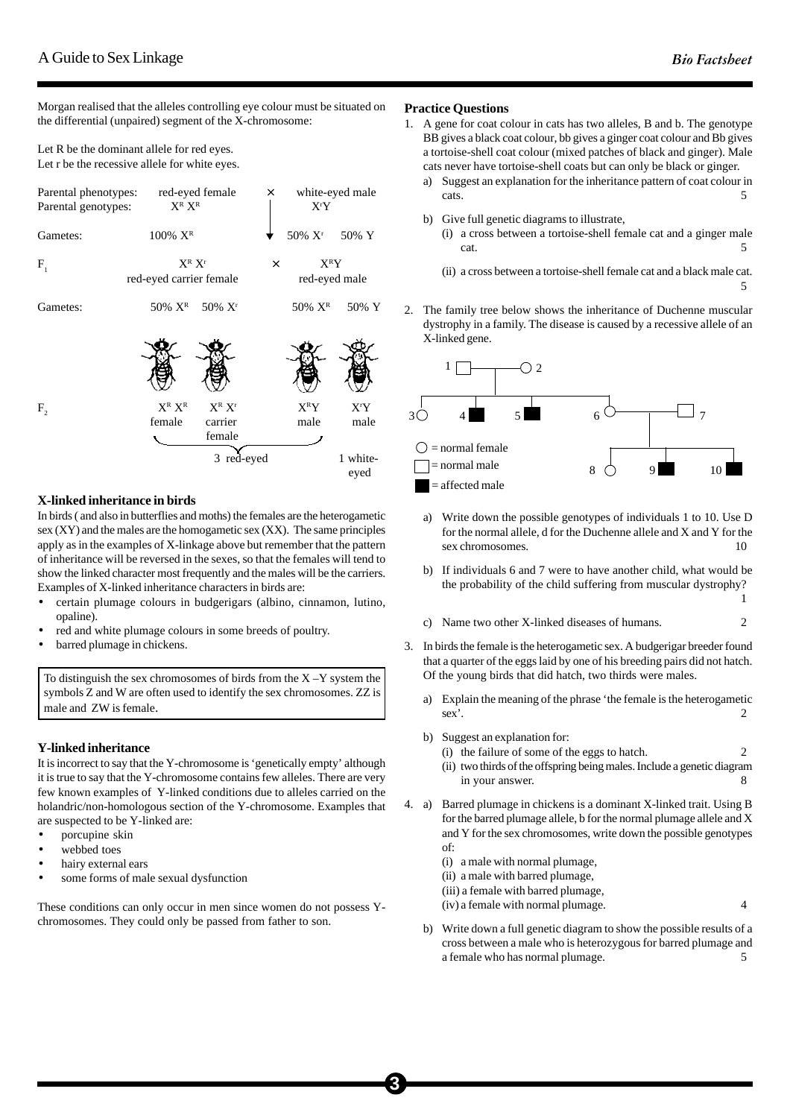Morgan realised that the alleles controlling eye colour must be situated on the differential (unpaired) segment of the X-chromosome:

Let R be the dominant allele for red eyes. Let r be the recessive allele for white eyes.

| Parental phenotypes:<br>Parental genotypes: | $X^R$ $X^R$                            | red-eyed female                                | ×        | X <sup>r</sup> Y         | white-eyed male                      |
|---------------------------------------------|----------------------------------------|------------------------------------------------|----------|--------------------------|--------------------------------------|
| Gametes:                                    | $100\%$ $X^R$                          |                                                |          | $50\%~{\rm X}^{\rm r}$   | 50% Y                                |
| $F_{1}$                                     | $X^R$ $X^r$<br>red-eyed carrier female |                                                | $\times$ | $X^R Y$<br>red-eyed male |                                      |
| Gametes:                                    | 50% X <sup>R</sup> 50% X <sup>r</sup>  |                                                |          | 50% $X^R$                | 50% Y                                |
| $F_{2}$                                     | $X^R$ $X^R$<br>female                  | $X^R$ $X^r$<br>carrier<br>female<br>3 red-eyed |          | $X^R Y$<br>male          | X <sup>r</sup> Y<br>male<br>1 white- |
|                                             |                                        |                                                |          |                          | eyed                                 |

# **X-linked inheritance in birds**

In birds ( and also in butterflies and moths) the females are the heterogametic sex (XY) and the males are the homogametic sex (XX). The same principles apply as in the examples of X-linkage above but remember that the pattern of inheritance will be reversed in the sexes, so that the females will tend to show the linked character most frequently and the males will be the carriers. Examples of X-linked inheritance characters in birds are:

- certain plumage colours in budgerigars (albino, cinnamon, lutino, opaline).
- red and white plumage colours in some breeds of poultry.
- barred plumage in chickens.

To distinguish the sex chromosomes of birds from the  $X - Y$  system the symbols Z and W are often used to identify the sex chromosomes. ZZ is male and ZW is female.

# **Y-linked inheritance**

It is incorrect to say that the Y-chromosome is 'genetically empty' although it is true to say that the Y-chromosome contains few alleles. There are very few known examples of Y-linked conditions due to alleles carried on the holandric/non-homologous section of the Y-chromosome. Examples that are suspected to be Y-linked are:

- porcupine skin
- webbed toes
- hairy external ears
- some forms of male sexual dysfunction

These conditions can only occur in men since women do not possess Ychromosomes. They could only be passed from father to son.

# **Practice Questions**

- 1. A gene for coat colour in cats has two alleles, B and b. The genotype BB gives a black coat colour, bb gives a ginger coat colour and Bb gives a tortoise-shell coat colour (mixed patches of black and ginger). Male cats never have tortoise-shell coats but can only be black or ginger.
	- a) Suggest an explanation for the inheritance pattern of coat colour in cats. 5
	- b) Give full genetic diagrams to illustrate,
		- (i) a cross between a tortoise-shell female cat and a ginger male cat. 5
		- (ii) a cross between a tortoise-shell female cat and a black male cat. 5
- 2. The family tree below shows the inheritance of Duchenne muscular dystrophy in a family. The disease is caused by a recessive allele of an X-linked gene.



- a) Write down the possible genotypes of individuals 1 to 10. Use D for the normal allele, d for the Duchenne allele and X and Y for the sex chromosomes. 10
- b) If individuals 6 and 7 were to have another child, what would be the probability of the child suffering from muscular dystrophy?

1

- c) Name two other X-linked diseases of humans. 2
- 3. In birds the female is the heterogametic sex. A budgerigar breeder found that a quarter of the eggs laid by one of his breeding pairs did not hatch. Of the young birds that did hatch, two thirds were males.
	- Explain the meaning of the phrase 'the female is the heterogametic sex'. 2
	- b) Suggest an explanation for:
		- (i) the failure of some of the eggs to hatch. 2
		- (ii) two thirds of the offspring being males. Include a genetic diagram in your answer. 8
- 4. a) Barred plumage in chickens is a dominant X-linked trait. Using B for the barred plumage allele, b for the normal plumage allele and X and Y for the sex chromosomes, write down the possible genotypes of:
	- (i) a male with normal plumage,
	- (ii) a male with barred plumage,

**3**

- (iii) a female with barred plumage,
- (iv) a female with normal plumage. 4
- b) Write down a full genetic diagram to show the possible results of a cross between a male who is heterozygous for barred plumage and a female who has normal plumage.  $5$